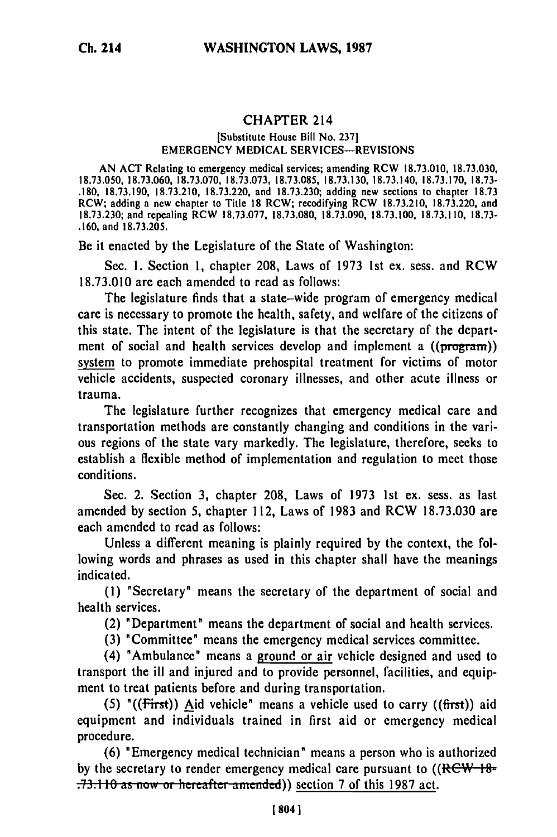## **CHAPTER 214**

## [Substitute House Bill No. **2371** EMERGENCY MEDICAL **SERVICES-REVISIONS**

AN ACT Relating to emergency medical services; amending RCW 18.73.010, 18.73.030, 18.73.050, 18.73.060, 18.73.070, 18.73.073, 18.73.085, 18.73.130, 18.73.140, 18.73.170, **18.73- .180,** 18.73.190, 18.73.210, 18.73.220, and 18.73.230; adding new sections to chapter 18.73 RCW; adding a new chapter to Title **18** RCW; recodifying RCW 18.73.210, 18.73.220, and 18.73.230; and repealing RCW 18.73.077, 18.73.080, 18.73.090, 18.73.100, 18.73.110, **18.73-** .160, and 18.73.205.

Be it enacted **by** the Legislature of the State of Washington:

Sec. **1.** Section **1,** chapter **208,** Laws of 1973 1st ex. sess. and RCW 18.73.010 are each amended to read as follows:

The legislature finds that a state-wide program of emergency medical care is necessary to promote the health, safety, and welfare of the citizens of this state. The intent of the legislature is that the secretary of the department of social and health services develop and implement a ((program)) system to promote immediate prehospital treatment for victims of motor vehicle accidents, suspected coronary illnesses, and other acute illness or trauma.

The legislature further recognizes that emergency medical care and transportation methods are constantly changing and conditions in the various regions of the state vary markedly. The legislature, therefore, seeks to establish a flexible method of implementation and regulation to meet those conditions.

Sec. 2. Section **3,** chapter **208,** Laws of 1973 1st ex. sess. as last amended by section **5,** chapter 112, Laws of 1983 and RCW 18.73.030 are each amended to read as follows:

Unless a different meaning is plainly required by the context, the following words and phrases as used in this chapter shall have the meanings indicated.

**(1)** "Secretary" means the secretary of the department of social and health services.

(2) "Department" means the department of social and health services.

**(3)** "Committee" means the emergency medical services committee.

(4) "Ambulance" means a ground or air vehicle designed and used to transport the ill and injured and to provide personnel, facilities, and equipment to treat patients before and during transportation.

**(5)** '((First)) Aid vehicle" means a vehicle used to carry ((first)) aid equipment and individuals trained in first aid or emergency medical procedure.

(6) "Emergency medical technician" means a person who is authorized by the secretary to render emergency medical care pursuant to  $((RCW - 18\pi)$ **.73.110 as now or hereafter amended)) section 7 of this 1987 act.**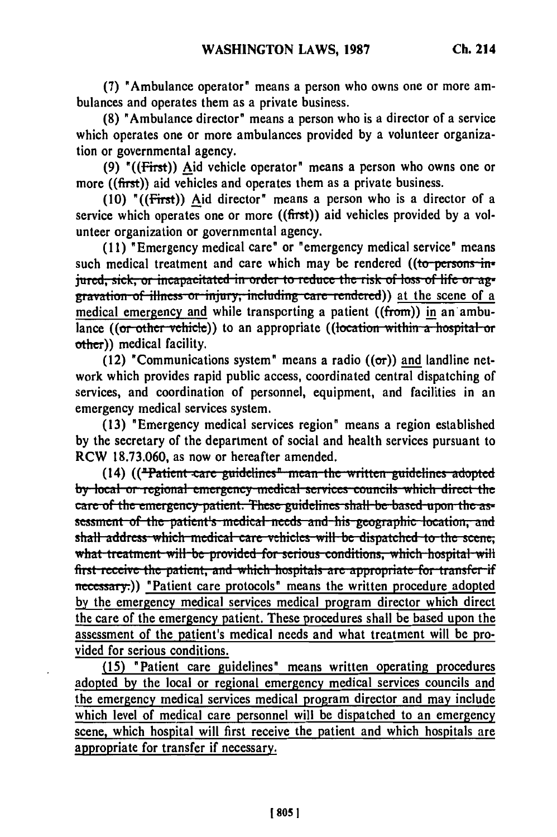**(7)** "Ambulance operator' means a person who owns one or more ambulances and operates them as a private business.

**(8)** 'Ambulance director' means a person who is a director **of** a service which operates one or more ambulances provided **by** a volunteer organization or governmental agency.

**(9)** "((First)) Aid vehicle operator" means a person who owns one or more ((first)) aid vehicles and operates them as a private business.

**(10)** '((First)) Aid director' means a person who is a director of a service which operates one or more ((first)) aid vehicles provided **by** a volunteer organization or governmental agency.

**(11)** 'Emergency medical care' or "emergency medical service' means such medical treatment and care which may be rendered **((to persons injured, sick, or incapacitated in order to reduce the risk of loss of life or ag-<br>gravation of illness or injury, including care rendered)) at the scene of a** medical emergency and while transporting a patient  $((from))$  in an ambulance ((or other vehicle)) to an appropriate ((location within a hospital or other)) medical facility.

(12) "Communications system" means a radio  $((\sigma r))$  and landline network which provides rapid public access, coordinated central dispatching of services, and coordination of personnel, equipment, and facilities in an emergency medical services system.

(13) 'Emergency medical services region' means a region established by the secretary of the department of social and health services pursuant to RCW 18.73.060, as now or hereafter amended.

**(14)** (("Patient care guidelines" mean the written guidelines adopted by local or regional emergency medical services councils which direct the care of the emergency patient. These guidelines shall be based upon the assessment of the patient's medical needs and his geographic location, and shall address which medical care vehicles will be dispatched to the scene; what treatment will be provided for serious conditions, which hospital will first receive the patient, and which hospitals are appropriate for transfer if necessary.)) "Patient care protocols' means the written procedure adopted **by** the emergency medical services medical program director which direct the care of the emergency patient. These procedures shall be based upon the assessment of the patient's medical needs and what treatment will be provided for serious conditions.

**(15)** "Patient care guidelines" means written operating procedures adopted **by** the local or regional emergency medical services councils and the emergency medical services medical program director and may include which level of medical care personnel will be dispatched to an emergency scene, which hospital will first receive the patient and which hospitals are appropriate for transfer if necessary.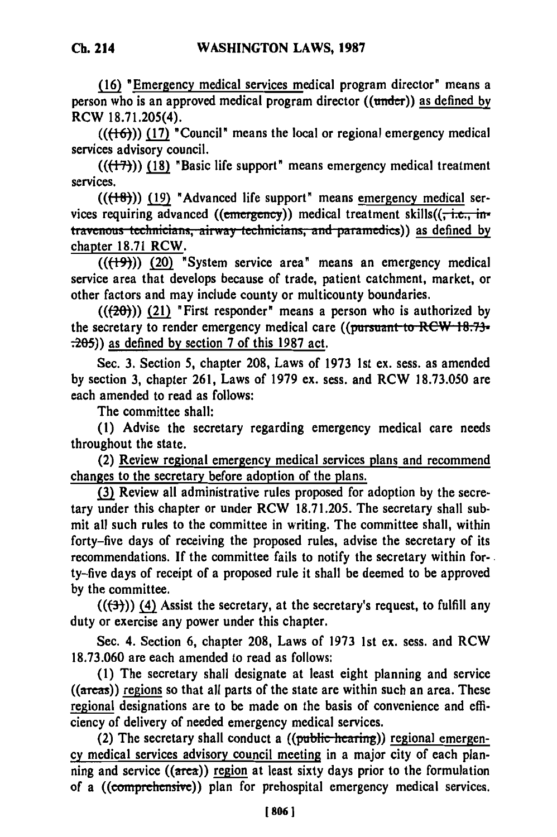**(16)** "Emergency medical services medical program director" means a person who is an approved medical program director ((under)) as defined **by** RCW **18.71.205(4).**

 $((\{+6\})$ ) (17) **"Council"** means the local or regional emergency medical services advisory council.

**((F-))) (18)** "Basic life support" means emergency medical treatment services.

**(((8))) (19)** "Advanced life support" means emergency medical services requiring advanced (( $\epsilon$ mergency)) medical treatment skills( $(\frac{1}{x}, \frac{1}{x})$ travenous technicians, airway technicians, and paramedics)) as defined by chapter 18.71 RCW.

**(((9"))** (20) "System service area" means an emergency medical service area that develops because of trade, patient catchment, market, or other factors and may include county or multicounty boundaries.

(((20))) (21) "First responder" means a person who is authorized **by** the secretary to render emergency medical care ((pursuant to RCW 18.73-.205)) as defined **by** section **7** of this **1987** act.

Sec. **3.** Section **5,** chapter **208,** Laws of **1973 1st** ex. sess. as amended **by** section **3,** chapter **261,** Laws of **1979** ex. sess. and RCW **18.73.050** are each amended to read as follows:

The committee shall:

**(1)** Advise the secretary regarding emergency medical care needs throughout the state.

(2) Review regional emergency medical services plans and recommend changes to the secretary before adoption of the plans.

**(3)** Review all administrative rules proposed for adoption **by** the secretary under this chapter or under RCW **18.71.205.** The secretary shall submit all such rules to the committee in writing. The committee shall, within forty-five days of receiving the proposed rules, advise the secretary of its recommendations. **If** the committee fails to notify the secretary within forty-five days of receipt of a proposed rule it shall be deemed to be approved **by** the committee.

 $((\rightarrow{(\rightarrow)})$  (4) Assist the secretary, at the secretary's request, to fulfill any duty or exercise any power under this chapter.

Sec. 4. Section **6,** chapter **208,** Laws of **1973 1st** ex. sess. and RCW **18.73.060** are each amended to read as follows:

**(1)** The secretary shall designate at least eight planning and service **((areas))** regions so that all parts of the state are within such an area. These regional designations are to be made on the basis of convenience and efficiency of delivery of needed emergency medical services.

(2) The secretary shall conduct a  $((\text{public hearing}))$  regional emergen**cy** medical services advisory council meeting in a major city of each planning and service ((area)) **region** at least sixty days prior to the formulation of a ((comprehensive)) plan for prehospital emergency medical services.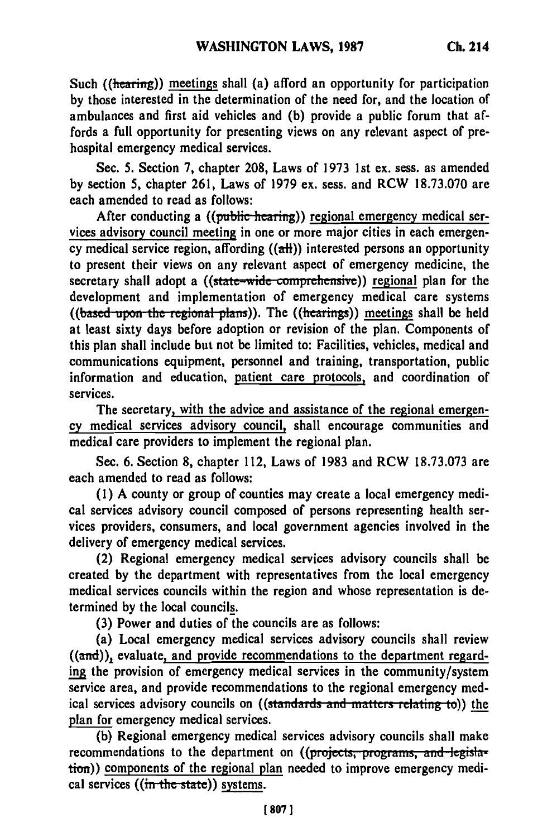**Such** ((hearing)) meetings shall (a) afford an opportunity for participation by those interested in the determination of the need for, and the location of ambulances and first aid vehicles and (b) provide a public forum that affords a full opportunity for presenting views on any relevant aspect of prehospital emergency medical services.

Sec. 5. Section 7, chapter 208, Laws of 1973 1st ex. sess. as amended by section 5, chapter 261, Laws of 1979 ex. sess. and RCW 18.73.070 are each amended to read as follows:

After conducting a ((public-hearing)) regional emergency medical services advisory council meeting in one or more major cities in each emergency medical service region, affording  $((aH))$  interested persons an opportunity to present their views on any relevant aspect of emergency medicine, the secretary shall adopt a ((state-wide comprehensive)) regional plan for the development and implementation of emergency medical care systems ((based upon the regional plans)). The ((hearings)) meetings shall be held at least sixty days before adoption or revision of the plan. Components of this plan shall include but not be limited to: Facilities, vehicles, medical and communications equipment, personnel and training, transportation, public information and education, patient care protocols, and coordination of services.

The secretary, with the advice and assistance of the regional emergency medical services advisory council, shall encourage communities and medical care providers to implement the regional plan.

Sec. 6. Section 8, chapter 112, Laws of 1983 and RCW 18.73.073 are each amended to read as follows:

(1) A county or group of counties may create a local emergency medical services advisory council composed of persons representing health services providers, consumers, and local government agencies involved in the delivery of emergency medical services.

(2) Regional emergency medical services advisory councils shall be created by the department with representatives from the local emergency medical services councils within the region and whose representation is determined by the local councils.

(3) Power and duties of the councils are as follows:

(a) Local emergency medical services advisory councils shall review  $((and))$ , evaluate, and provide recommendations to the department regarding the provision of emergency medical services in the community/system service area, and provide recommendations to the regional emergency medical services advisory councils on ((standards and matters relating to)) the plan for emergency medical services.

(b) Regional emergency medical services advisory councils shall make recommendations to the department on ((projects, programs, and legislation)) components of the regional plan needed to improve emergency medical services ((in the state)) systems.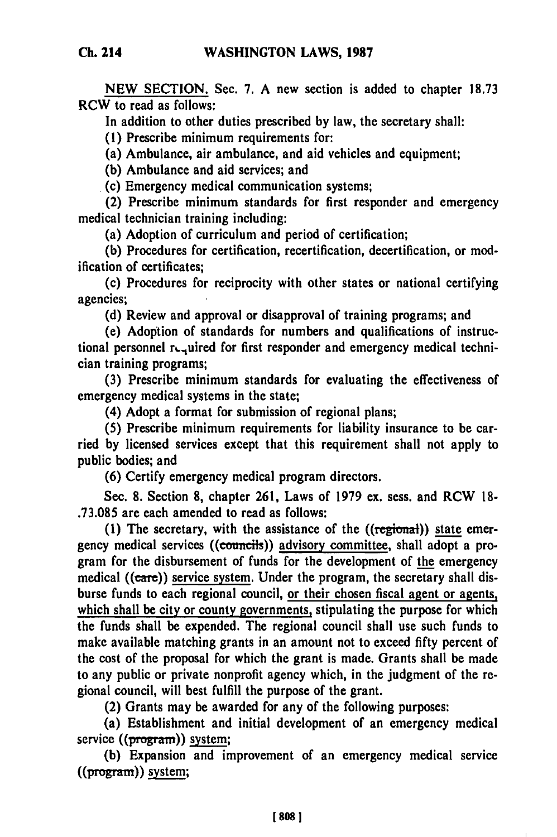**NEW SECTION.** Sec. **7.** A new section is added to chapter **18.73** RCW to read as follows:

In addition to other duties prescribed **by** law, the secretary shall:

**(1)** Prescribe minimum requirements for:

(a) Ambulance, air ambulance, and aid vehicles and equipment;

**(b)** Ambulance and aid services; and

(c) Emergency medical communication systems;

(2) Prescribe minimum standards for first responder and emergency medical technician training including:

(a) Adoption of curriculum and period of certification;

**(b)** Procedures for certification, recertification, decertification, or modification of certificates;

(c) Procedures for reciprocity with other states or national certifying agencies;

**(d)** Review and approval or disapproval of training programs; and

(e) Adoption of standards for numbers and qualifications of instructional personnel required for first responder and emergency medical technician training programs;

**(3)** Prescribe minimum standards for evaluating the effectiveness of emergency medical systems in the state;

(4) Adopt a format for submission of regional plans;

**(5)** Prescribe minimum requirements for liability insurance to be carried **by** licensed services except that this requirement shall not apply to public bodies; and

**(6)** Certify emergency medical program directors.

Sec. 8. Section **8,** chapter 261, Laws of 1979 ex. sess. and RCW **18- .73.085** are each amended to read as follows:

**(1)** The secretary, with the assistance of the ((regional)) state emergency medical services ((councils)) advisory committee, shall adopt a program for the disbursement of funds for the development of the emergency medical **((care))** service system. Under the program, the secretary shall disburse funds to each regional council, or their chosen fiscal agent or agents, which shall be city or county governments, stipulating the purpose for which the funds shall be expended. The regional council shall use such funds to make available matching grants in an amount not to exceed **fifty** percent of the cost of the proposal for which the grant is made. Grants shall be made to any public or private nonprofit agency which, in the judgment of the regional council, will best fulfill the purpose of the grant.

(2) Grants may be awarded for any of the following purposes:

(a) Establishment and initial development of an emergency medical service  $((\overline{\text{program}}))$  system;

**(b)** Expansion and improvement of an emergency medical service ((program)) system;

**Ch. 214**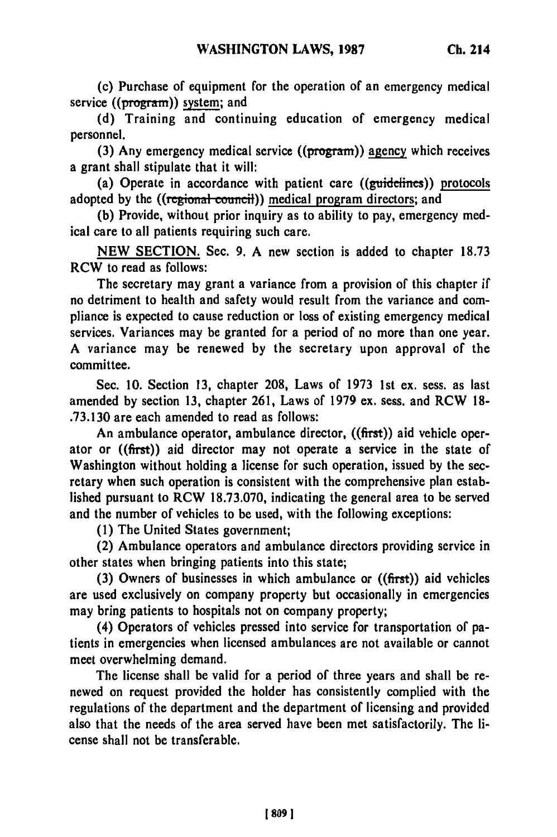(c) Purchase of equipment for the operation of an emergency medical service ((program)) system; and

(d) Training and continuing education of emergency medical personnel.

(3) Any emergency medical service  $((\overline{program}))$  agency which receives a grant shall stipulate that it will:

(a) Operate in accordance with patient care ((guidelines)) protocols adopted by the ((regional council)) medical program directors; and

(b) Provide, without prior inquiry as to ability to pay, emergency medical care to all patients requiring such care.

NEW SECTION. Sec. 9. A new section is added to chapter 18.73 RCW to read as follows:

The secretary may grant a variance from a provision of this chapter if no detriment to health and safety would result from the variance and compliance is expected to cause reduction or loss of existing emergency medical services. Variances may be granted for a period of no more than one year. A variance may be renewed by the secretary upon approval of the committee.

Sec. 10. Section 13, chapter 208, Laws of 1973 1st ex. sess. as last amended by section 13, chapter **261,** Laws of 1979 ex. sess. and RCW 18- .73.130 are each amended to read as follows:

An ambulance operator, ambulance director, ((first)) aid vehicle operator or ((first)) aid director may not operate a service in the state of Washington without holding a license for such operation, issued by the secretary when such operation is consistent with the comprehensive plan established pursuant to RCW 18.73.070, indicating the general area to be served and the number of vehicles to be used, with the following exceptions:

(1) The United States government;

(2) Ambulance operators and ambulance directors providing service in other states when bringing patients into this state;

(3) Owners of businesses in which ambulance or ((first)) aid vehicles are used exclusively on company property but occasionally in emergencies may bring patients to hospitals not on company property;

(4) Operators of vehicles pressed into service for transportation of patients in emergencies when licensed ambulances are not available or cannot meet overwhelming demand.

The license shall be valid for a period of three years and shall be renewed on request provided the holder has consistently complied with the regulations of the department and the department of licensing and provided also that the needs of the area served have been met satisfactorily. The license shall not be transferable.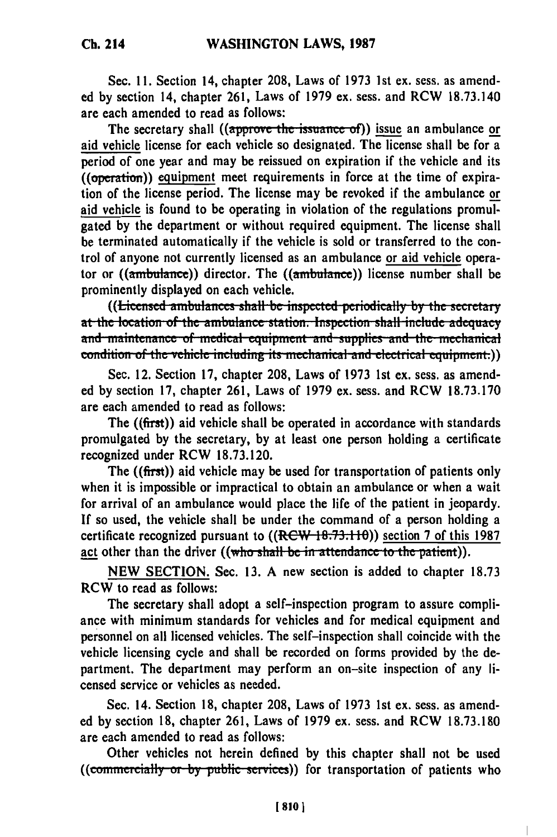Sec. **11.** Section 14, chapter **208,** Laws of **1973 1st ex.** sess. as amended **by** section 14, chapter **261,** Laws of **1979** ex. sess. and RCW **18.73.140** are each amended to read as follows:

The secretary shall ((approve the issuance of)) issue an ambulance or aid vehicle license for each vehicle so designated. The license shall be for a period of one year and may be reissued on expiration if the vehicle and its ((operation)) equipment meet requirements in force at the time of expiration of the license period. The license may be revoked if the ambulance or aid vehicle is found to be operating in violation of the regulations **promul**gated **by** the department or without required equipment. The license shall be terminated automatically if the vehicle is sold or transferred to the control of anyone not currently licensed as an ambulance or aid vehicle operator or  $((\text{ambulance}))$  director. The  $((\text{ambulance}))$  license number shall be prominently displayed on each vehicle.

**at the location of the ambulances shall be inspected periodically by the secretary at the location of the ambulance station. Inspection shall include adequacy** and maintenance of medical equipment and supplies and the mechanical condition of the vehicle including its mechanical and electrical equipment.)

Sec. 12. Section **17,** chapter **208,** Laws of **1973** 1st ex. sess. as amended **by** section **17,** chapter **261,** Laws of 1979 ex. sess. and RCW **18.73.170** are each amended to read as follows:

The ((first)) aid vehicle shall be operated in accordance with standards promulgated **by** the secretary, **by** at least one person holding a certificate recognized under RCW **18.73.120.**

The  $((\text{first}))$  aid vehicle may be used for transportation of patients only when it is impossible or impractical to obtain an ambulance or when a wait for arrival of an ambulance would place the life of the patient in jeopardy. **If** so used, the vehicle shall be under the command of a person holding a certificate recognized pursuant to ((RCW 18.73.1 **0))** section 7 of this 1987 act other than the driver ((who shall be in attendance to the patient)).

**NEW** SECTION. Sec. **13.** A new section is added to chapter 18.73 RCW to read as follows:

The secretary shall adopt a self-inspection program to assure compliance with minimum standards for vehicles and for medical equipment and personnel on all licensed vehicles. The self-inspection shall coincide with the vehicle licensing cycle and shall be recorded on forms provided **by** the department. The department may perform an on-site inspection of any licensed service or vehicles as needed.

Sec. 14. Section **18,** chapter **208,** Laws of **1973 1st** ex. sess. as amended **by** section **18,** chapter **261,** Laws of **1979 ex.** sess. and RCW **18.73.180** are each amended to read as follows:

Other vehicles not herein defined **by** this chapter shall not be used ((commercially or by public services)) for transportation of patients who

1 **810 1**

 $\overline{\phantom{a}}$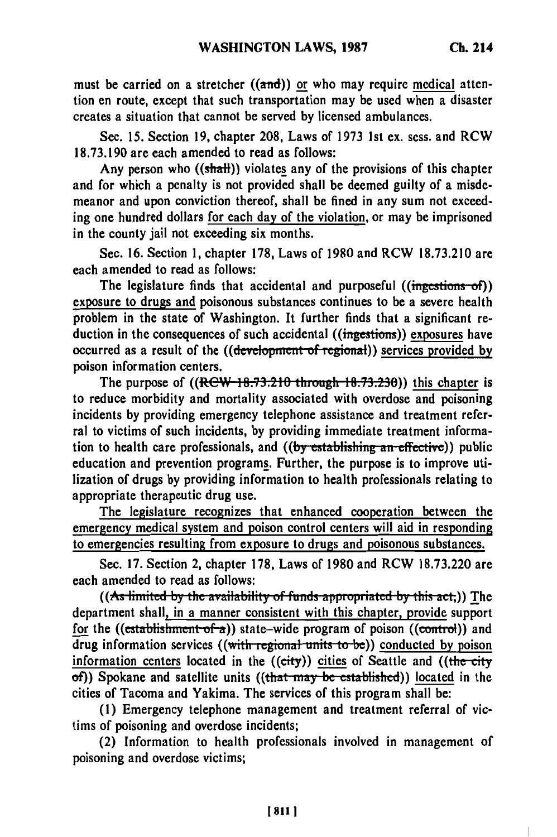must be carried on a stretcher  $((\overline{\text{and}}))$  or who may require medical attention en route, except that such transportation may be used when a disaster creates a situation that cannot be served **by** licensed ambulances.

Sec. **15.** Section **19,** chapter **208,** Laws of **1973** 1st ex. sess. and RCW 18.73.190 are each amended to read as follows:

Any person who  $((shall))$  violates any of the provisions of this chapter and for which a penalty is not provided shall be deemed guilty of a misdemeanor and upon conviction thereof, shall be fined in any sum not exceeding one hundred dollars for each day of the violation, or may be imprisoned in the county jail not exceeding six months.

Sec. 16. Section **1,** chapter **178,** Laws of 1980 and RCW 18.73.210 are each amended to read as follows:

The legislature finds that accidental and purposeful ((ingestions-of)) exposure to drugs and poisonous substances continues to be a severe health problem in the state of Washington. It further finds that a significant reduction in the consequences of such accidental ((ingestions)) exposures have occurred as a result of the ((development of regional)) services provided by poison information centers.

The purpose of  $((RCW 18.73.210$  through  $18.73.230)$ ) this chapter is to reduce morbidity and mortality associated with overdose and poisoning incidents **by** providing emergency telephone assistance and treatment referral to victims of such incidents, **by** providing immediate treatment information to health care professionals, and **((by** establishing an effective)) public education and prevention programs. Further, the purpose is to improve utilization of drugs **by** providing information to health professionals relating to appropriate therapeutic drug use.

The legislature recognizes that enhanced cooperation between the emergency medical system and poison control centers will aid in responding to emergencies resulting from exposure to drugs and poisonous substances.

Sec. **17.** Section 2, chapter **178,** Laws of **1980** and RCW **18.73.220** are each amended to read as follows:

((As limited by the availability of funds appropriated by this act,)) The department shall, in a manner consistent with this chapter, provide support for the ((establishment of a)) state-wide program of poison ((control)) and drug information services ((with regional units to be)) conducted by poison information centers located in the ((city)) cities of Seattle and ((the city  $of)$ ) Spokane and satellite units ((that may be established)) located in the cities of Tacoma and Yakima. The services of this program shall be:

**(1)** Emergency telephone management and treatment referral of victims of poisoning and overdose incidents;

(2) Information to health professionals involved in management of poisoning and overdose victims;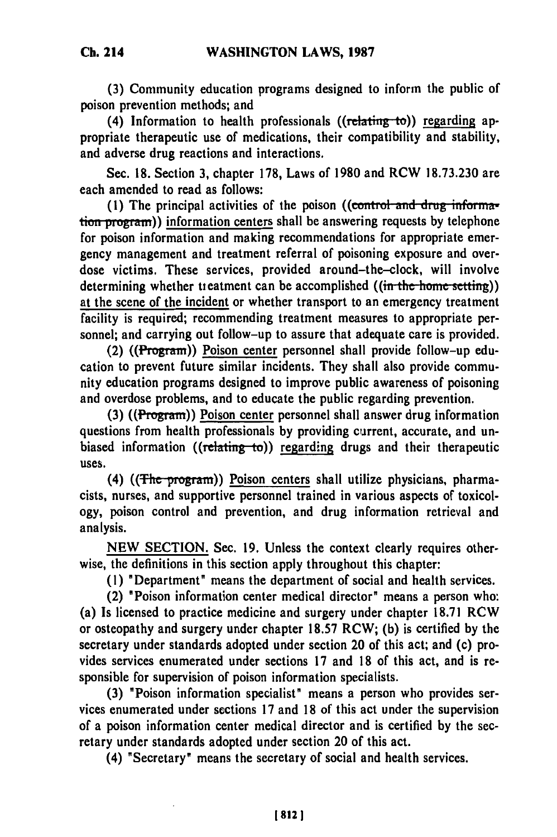**(3)** Community education programs designed to inform the public of poison prevention methods; and

(4) Information to health professionals ((relating **to))** regarding appropriate therapeutic use of medications, their compatibility and stability, and adverse drug reactions and interactions.

Sec. 18. Section 3, chapter 178, Laws of 1980 and RCW 18.73.230 are each amended to read as follows:

(1) The principal activities of the poison ( $(control$  and drug information program)) information centers shall be answering requests by telephone for poison information and making recommendations for appropriate emergency management and treatment referral of poisoning exposure and overdose victims. These services, provided around-the-clock, will involve determining whether treatment can be accomplished  $((\text{in the home setting}))$ at the scene of the incident or whether transport to an emergency treatment facility is required; recommending treatment measures to appropriate personnel; and carrying out follow-up to assure that adequate care is provided.

(2) **((Program))** Poison center personnel shall provide follow-up education to prevent future similar incidents. They shall also provide community education programs designed to improve public awareness of poisoning and overdose problems, and to educate the public regarding prevention.

**(3) ((Program))** Poison center personnel shall answer drug information questions from health professionals **by** providing current, accurate, and unbiased information  $((relating to))$  regarding drugs and their therapeutic uses.

(4) ( $(\text{The program})$ ) Poison centers shall utilize physicians, pharmacists, nurses, and supportive personnel trained in various aspects of toxicology, poison control and prevention, and drug information retrieval and analysis.

**NEW SECTION.** Sec. **19.** Unless the context clearly requires otherwise, the definitions in this section apply throughout this chapter:

**(1)** "Department" means the department of social and health services.

(2) "Poison information center medical director" means a person who: (a) Is licensed to practice medicine and surgery under chapter **18.71** RCW or osteopathy and surgery under chapter **18.57** RCW; **(b)** is certified **by** the secretary under standards adopted under section 20 of this act; and (c) provides services enumerated under sections **17** and **18** of this act, and is responsible for supervision of poison information specialists.

**(3)** "Poison information specialist" means a person who provides services enumerated under sections **17** and **18** of this act under the supervision of a poison information center medical director and is certified **by** the secretary under standards adopted under section 20 of this act.

(4) "Secretary" means the secretary of social and health services.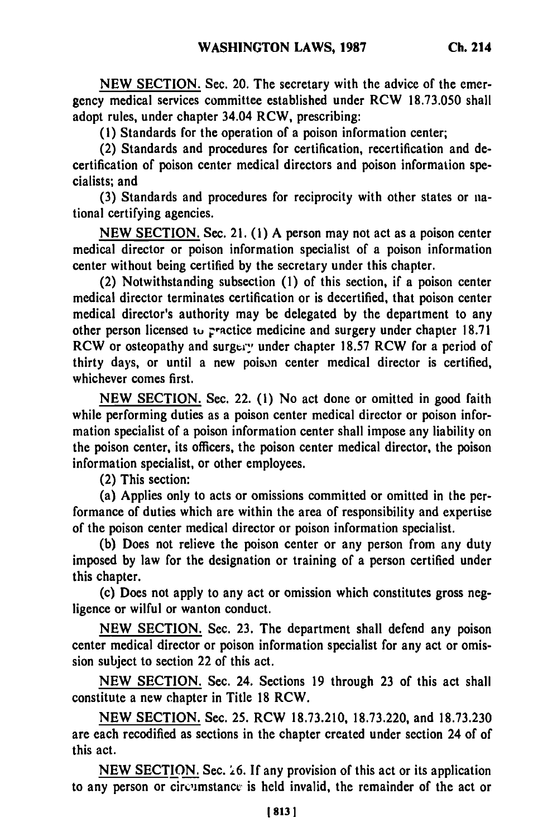**NEW SECTION.** Sec. 20. The secretary with the advice of the emergency medical services committee established under RCW **18.73.050** shall adopt rules, under chapter 34.04 RCW, prescribing:

**(I)** Standards for the operation of a poison information center;

(2) Standards and procedures for certification, recertification and decertification of poison center medical directors and poison information specialists; and

**(3)** Standards and procedures for reciprocity with other states or national certifying agencies.

**NEW** SECTION. Sec. 21. **(1)** A person may not act as a poison center medical director or poison information specialist of a poison information center without being certified **by** the secretary under this chapter.

(2) Notwithstanding subsection **(1)** of this section, if a poison center medical director terminates certification or is decertified, that poison center medical director's authority may be delegated **by** the department to any other person licensed **tu** practice medicine and surgery under chapter **18.71** RCW or osteopathy and surgery under chapter 18.57 RCW for a period of thirty days, or until a new poison center medical director is certified, whichever comes first.

**NEW SECTION.** Sec. 22. **(1)** No act done or omitted in good faith while performing duties as a poison center medical director or poison information specialist of a poison information center shall impose any liability on the poison center, its officers, the poison center medical director, the poison information specialist, or other employees.

(2) This section:

(a) Applies only to acts or omissions committed or omitted in the performance of duties which are within the area of responsibility and expertise of the poison center medical director or poison information specialist.

**(b)** Does not relieve the poison center or any person from any duty imposed **by** law for the designation or training of a person certified under this chapter.

(c) Does not apply to any act or omission which constitutes gross negligence or wilful or wanton conduct.

**NEW SECTION.** Sec. **23.** The department shall defend any poison center medical director or poison information specialist for any act or omission subject to section 22 of this act.

**NEW SECTION.** Sec. 24. Sections **19** through **23** of this act shall constitute a new chapter in Title **18** RCW.

**NEW** SECTION. Sec. **25.** RCW **18.73.210, 18.73.220,** and **18.73.230** are each recodified as sections in the chapter created under section 24 of of this act.

**NEW SECTION.** Sec. **.6. If** any provision of this act or its application to any person or circumstance is held invalid, the remainder of the act or